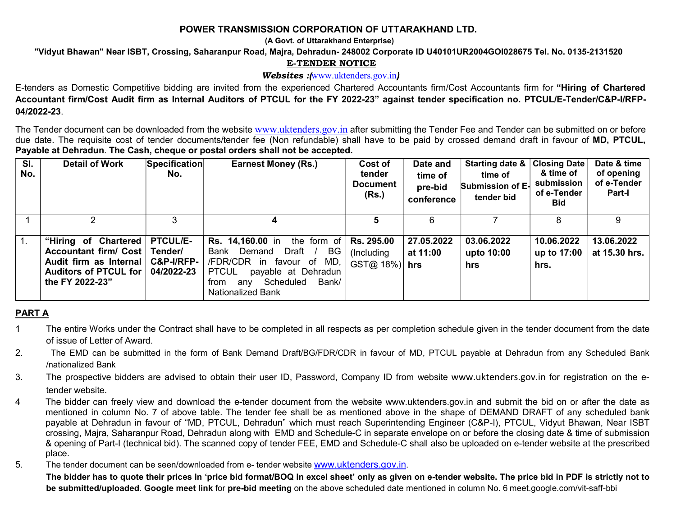# POWER TRANSMISSION CORPORATION OF UTTARAKHAND LTD.

(A Govt. of Uttarakhand Enterprise)

"Vidyut Bhawan" Near ISBT, Crossing, Saharanpur Road, Majra, Dehradun- 248002 Corporate ID U40101UR2004GOI028675 Tel. No. 0135-2131520

### E-TENDER NOTICE

#### Websites : www.uktenders.gov.in)

E-tenders as Domestic Competitive bidding are invited from the experienced Chartered Accountants firm/Cost Accountants firm for "Hiring of Chartered Accountant firm/Cost Audit firm as Internal Auditors of PTCUL for the FY 2022-23" against tender specification no. PTCUL/E-Tender/C&P-I/RFP-04/2022-23.

The Tender document can be downloaded from the website www.uktenders.gov.in after submitting the Tender Fee and Tender can be submitted on or before due date. The requisite cost of tender documents/tender fee (Non refundable) shall have to be paid by crossed demand draft in favour of MD, PTCUL, Payable at Dehradun. The Cash, cheque or postal orders shall not be accepted.

| SI.<br>No. | <b>Detail of Work</b>                                                                                                                  | Specification<br>No.                        | <b>Earnest Money (Rs.)</b>                                                                                                                                                                                                    | Cost of<br>tender<br><b>Document</b><br>(Rs.) | Date and<br>time of<br>pre-bid<br>conference | Starting date &<br>time of<br>Submission of E-<br>tender bid | <b>Closing Date</b><br>& time of<br>submission<br>of e-Tender<br><b>Bid</b> | Date & time<br>of opening<br>of e-Tender<br><b>Part-I</b> |
|------------|----------------------------------------------------------------------------------------------------------------------------------------|---------------------------------------------|-------------------------------------------------------------------------------------------------------------------------------------------------------------------------------------------------------------------------------|-----------------------------------------------|----------------------------------------------|--------------------------------------------------------------|-----------------------------------------------------------------------------|-----------------------------------------------------------|
|            |                                                                                                                                        |                                             | 4                                                                                                                                                                                                                             | 5                                             |                                              |                                                              | 8                                                                           |                                                           |
|            | "Hiring of Chartered<br>Accountant firm/ Cost   Tender/<br>Audit firm as Internal<br><b>Auditors of PTCUL for I</b><br>the FY 2022-23" | <b>PTCUL/E-</b><br>C&P-I/RFP-<br>04/2022-23 | the form of $\vert$ Rs. 295.00<br><b>Rs. 14,160.00 in</b><br>BG.<br>Bank Demand<br>Draft<br>/FDR/CDR in favour of MD,<br><b>PTCUL</b><br>payable at Dehradun<br>Scheduled<br>Bank/<br>from<br>anv<br><b>Nationalized Bank</b> | (Including<br>$GST@18\%$                      | 27.05.2022<br>at 11:00<br>hrs                | 03.06.2022<br>upto 10:00<br>hrs                              | 10.06.2022<br>up to 17:00<br>hrs.                                           | 13.06.2022<br>at 15.30 hrs.                               |

#### PART A

- 1 The entire Works under the Contract shall have to be completed in all respects as per completion schedule given in the tender document from the date of issue of Letter of Award.
- 2. The EMD can be submitted in the form of Bank Demand Draft/BG/FDR/CDR in favour of MD, PTCUL payable at Dehradun from any Scheduled Bank /nationalized Bank
- 3. The prospective bidders are advised to obtain their user ID, Password, Company ID from website www.uktenders.gov.in for registration on the etender website.
- 4 The bidder can freely view and download the e-tender document from the website www.uktenders.gov.in and submit the bid on or after the date as mentioned in column No. 7 of above table. The tender fee shall be as mentioned above in the shape of DEMAND DRAFT of any scheduled bank payable at Dehradun in favour of "MD, PTCUL, Dehradun" which must reach Superintending Engineer (C&P-I), PTCUL, Vidyut Bhawan, Near ISBT crossing, Majra, Saharanpur Road, Dehradun along with EMD and Schedule-C in separate envelope on or before the closing date & time of submission & opening of Part-I (technical bid). The scanned copy of tender FEE, EMD and Schedule-C shall also be uploaded on e-tender website at the prescribed place.
- 5. The tender document can be seen/downloaded from e- tender website www.uktenders.gov.in.

The bidder has to quote their prices in 'price bid format/BOQ in excel sheet' only as given on e-tender website. The price bid in PDF is strictly not to be submitted/uploaded. Google meet link for pre-bid meeting on the above scheduled date mentioned in column No. 6 meet.google.com/vit-saff-bbi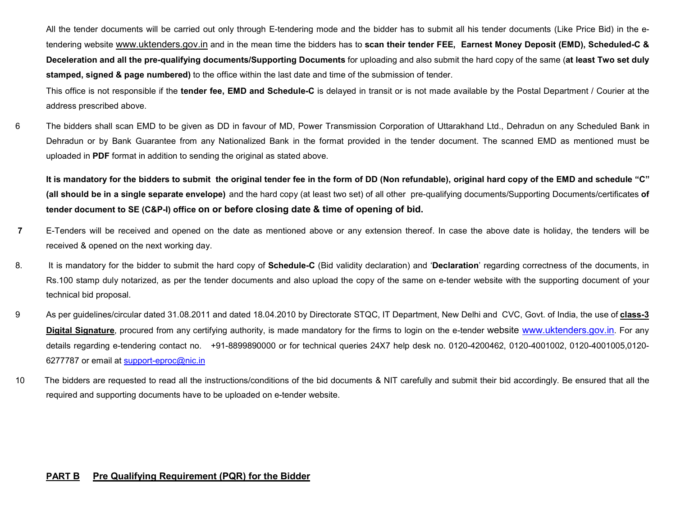All the tender documents will be carried out only through E-tendering mode and the bidder has to submit all his tender documents (Like Price Bid) in the etendering website www.uktenders.gov.in and in the mean time the bidders has to scan their tender FEE, Earnest Money Deposit (EMD), Scheduled-C & Deceleration and all the pre-qualifying documents/Supporting Documents for uploading and also submit the hard copy of the same (at least Two set duly stamped, signed & page numbered) to the office within the last date and time of the submission of tender.

This office is not responsible if the **tender fee, EMD and Schedule-C** is delayed in transit or is not made available by the Postal Department / Courier at the address prescribed above.

6 The bidders shall scan EMD to be given as DD in favour of MD, Power Transmission Corporation of Uttarakhand Ltd., Dehradun on any Scheduled Bank in Dehradun or by Bank Guarantee from any Nationalized Bank in the format provided in the tender document. The scanned EMD as mentioned must be uploaded in PDF format in addition to sending the original as stated above.

It is mandatory for the bidders to submit the original tender fee in the form of DD (Non refundable), original hard copy of the EMD and schedule "C" (all should be in a single separate envelope) and the hard copy (at least two set) of all other pre-qualifying documents/Supporting Documents/certificates of tender document to SE (C&P-I) office on or before closing date & time of opening of bid.

- 7 E-Tenders will be received and opened on the date as mentioned above or any extension thereof. In case the above date is holiday, the tenders will be received & opened on the next working day.
- 8. It is mandatory for the bidder to submit the hard copy of Schedule-C (Bid validity declaration) and 'Declaration' regarding correctness of the documents, in Rs.100 stamp duly notarized, as per the tender documents and also upload the copy of the same on e-tender website with the supporting document of your technical bid proposal.
- 9 As per guidelines/circular dated 31.08.2011 and dated 18.04.2010 by Directorate STQC, IT Department, New Delhi and CVC, Govt. of India, the use of class-3 Digital Signature, procured from any certifying authority, is made mandatory for the firms to login on the e-tender website www.uktenders.gov.in. For any details regarding e-tendering contact no. +91-8899890000 or for technical queries 24X7 help desk no. 0120-4200462, 0120-4001002, 0120-4001005,0120- 6277787 or email at support-eproc@nic.in
- 10 The bidders are requested to read all the instructions/conditions of the bid documents & NIT carefully and submit their bid accordingly. Be ensured that all the required and supporting documents have to be uploaded on e-tender website.

## PART B Pre Qualifying Requirement (PQR) for the Bidder